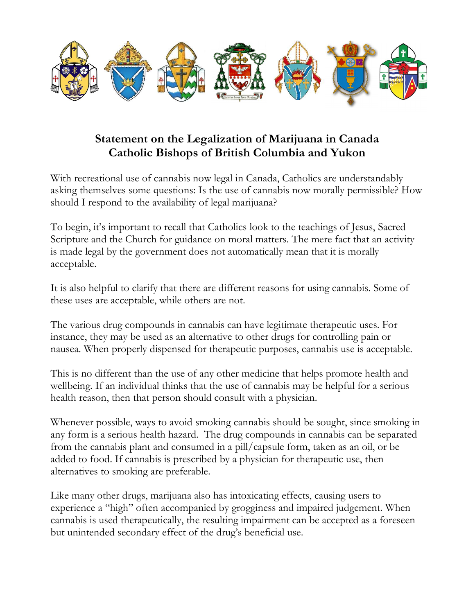

## Statement on the Legalization of Marijuana in Canada Catholic Bishops of British Columbia and Yukon

With recreational use of cannabis now legal in Canada, Catholics are understandably asking themselves some questions: Is the use of cannabis now morally permissible? How should I respond to the availability of legal marijuana?

To begin, it's important to recall that Catholics look to the teachings of Jesus, Sacred Scripture and the Church for guidance on moral matters. The mere fact that an activity is made legal by the government does not automatically mean that it is morally acceptable.

It is also helpful to clarify that there are different reasons for using cannabis. Some of these uses are acceptable, while others are not.

The various drug compounds in cannabis can have legitimate therapeutic uses. For instance, they may be used as an alternative to other drugs for controlling pain or nausea. When properly dispensed for therapeutic purposes, cannabis use is acceptable.

This is no different than the use of any other medicine that helps promote health and wellbeing. If an individual thinks that the use of cannabis may be helpful for a serious health reason, then that person should consult with a physician.

Whenever possible, ways to avoid smoking cannabis should be sought, since smoking in any form is a serious health hazard. The drug compounds in cannabis can be separated from the cannabis plant and consumed in a pill/capsule form, taken as an oil, or be added to food. If cannabis is prescribed by a physician for therapeutic use, then alternatives to smoking are preferable.

Like many other drugs, marijuana also has intoxicating effects, causing users to experience a "high" often accompanied by grogginess and impaired judgement. When cannabis is used therapeutically, the resulting impairment can be accepted as a foreseen but unintended secondary effect of the drug's beneficial use.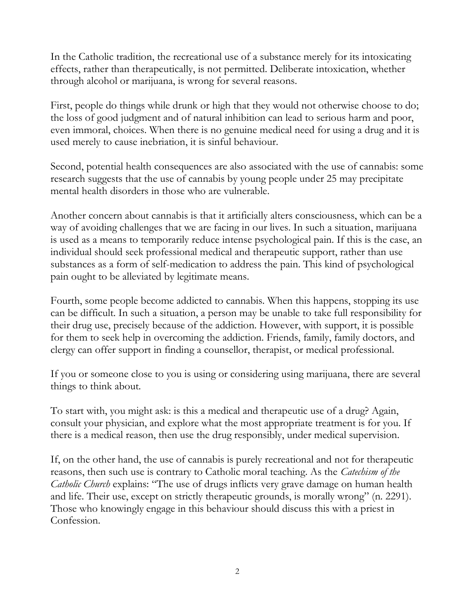In the Catholic tradition, the recreational use of a substance merely for its intoxicating effects, rather than therapeutically, is not permitted. Deliberate intoxication, whether through alcohol or marijuana, is wrong for several reasons.

First, people do things while drunk or high that they would not otherwise choose to do; the loss of good judgment and of natural inhibition can lead to serious harm and poor, even immoral, choices. When there is no genuine medical need for using a drug and it is used merely to cause inebriation, it is sinful behaviour.

Second, potential health consequences are also associated with the use of cannabis: some research suggests that the use of cannabis by young people under 25 may precipitate mental health disorders in those who are vulnerable.

Another concern about cannabis is that it artificially alters consciousness, which can be a way of avoiding challenges that we are facing in our lives. In such a situation, marijuana is used as a means to temporarily reduce intense psychological pain. If this is the case, an individual should seek professional medical and therapeutic support, rather than use substances as a form of self-medication to address the pain. This kind of psychological pain ought to be alleviated by legitimate means.

Fourth, some people become addicted to cannabis. When this happens, stopping its use can be difficult. In such a situation, a person may be unable to take full responsibility for their drug use, precisely because of the addiction. However, with support, it is possible for them to seek help in overcoming the addiction. Friends, family, family doctors, and clergy can offer support in finding a counsellor, therapist, or medical professional.

If you or someone close to you is using or considering using marijuana, there are several things to think about.

To start with, you might ask: is this a medical and therapeutic use of a drug? Again, consult your physician, and explore what the most appropriate treatment is for you. If there is a medical reason, then use the drug responsibly, under medical supervision.

If, on the other hand, the use of cannabis is purely recreational and not for therapeutic reasons, then such use is contrary to Catholic moral teaching. As the *Catechism of the Catholic Church* explains: "The use of drugs inflicts very grave damage on human health and life. Their use, except on strictly therapeutic grounds, is morally wrong" (n. 2291). Those who knowingly engage in this behaviour should discuss this with a priest in Confession.